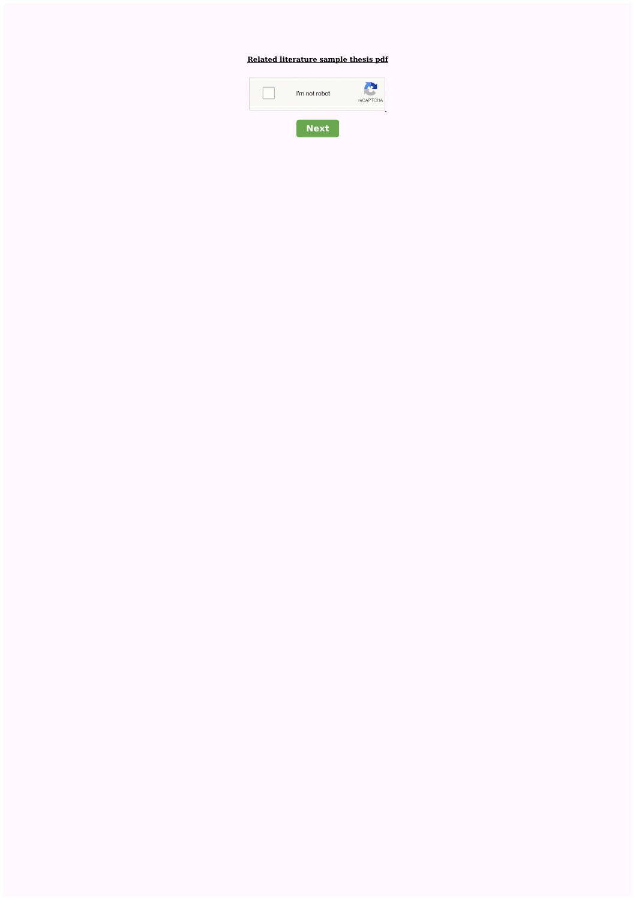# **Related [literature](http://feedproxy.google.com/~r/Xvkpad/~3/6Zflnl449io/uplcv?utm_term=related+literature+sample+thesis+pdf) sample thesis pdf**

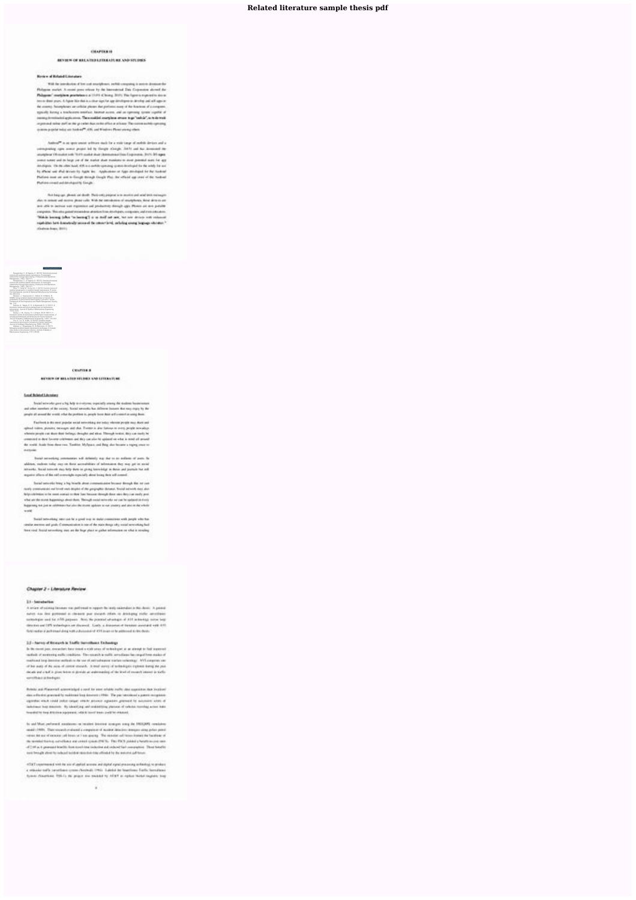## Related literature sample thesis pdf

### 1004211010

### **REVIEW OF BELATION LITERATURE AND STUDIES**

### **Redee of Related Charatory**

Will de presidente al los cost recapitants rechit company is provo dostous der Philippin parket. A resist post whose by the interactional Data Copyrights about the Polagone" margines prochesses a U-F1 Ching, 2011. For figures expensive now a tracts than your. A figure him data a clear sign for age detelligence develop and self-agents. the country. No crystenes are criticial phones that performs many of the American of a company. speak) being a trackstone entriest. Interact acces, and an speciely speak signific of interestiminated application. Then resided complete artists to go "safely", so to in tradiimportant rates poll as the president back active affect and heavy flar control author operating quieres provide testos ant Audit 44<sup>00</sup> ADS, and Windows Plump are equalized.

Author T. In an ignor second subtrace deads for a state topy of outflots devices and a companing operators prove led by Sough Analys, 2003 and his democrat its analytical Of-materials (1979) model study determines then Experience, 2017). It's ages some neter and on here yet of the market about members to alive preceded wats for app developme, the data beauty of this a surface operator system in which the wide the set To affect your shall devices by Agele Ave., Application or Agel attributed for As Asshment Purious near on one in Europe meants frought Play, the efficied upp cases of the mediate Purios coal ad Andardo Swan

fluid key up, phone are doub. Their call propose was analist and and took national she is assumed and matter please code. With the interakation of analytheres, there detects are are able to better suit expositor and productivity descript age. Phones are six putable. categories. This ethic potential experience attacks and editorial composites, and even entrolers. "Makin being jobs "a hereof") is a new and not the above article relevant replicites here detectedly percent for converticing, scholag soung legacys who and " cladwin bone, \$100.

statou, S., S. Taganesi, G. (2010). Study rough data sharing Production and Do ones, 120-171.<br>su S., S. Sagaras, G. (2010). Statistical proces. rol and condition-based maintenance: A meaningha<br>tionship through data sharing Production and Operations<br>agement, 1952). 156-171.<br>Pang, Y., Dong, M., & Zuo, M. J. (2010). Current status of .<br> 297-313.<br> Remane, J., Kacprzynski, G., Cabral, D., & Marini, R. manos based logistic contracts. Annual<br>renewatins and Health Mensenment Socia sp. 1-51.<br>Sharros, A., Yedava, G. S., & Destrovách, S. G. (2011), A. splemantion, Journal of Quality in Mandenence Engineering,<br>17(11, 5-25)<br>Simbes, J. M., Domes, C. F., & Yeain, M. M. (2011). A ceptual fremework and directions for future research.<br>real of Quality in Mantenance Engineering, 1702, 116-137.<br>Tan, Z., Lin, D., & Wu, B. (2012). Condition based intenance optimization considering nuitspie objectives<br>weal of leadinges Manufactureg, 2522, 333-340;<br>Waldman, J., Klingenberg, W., K.Wortmann, H. (2011)<br>water operation has dimensioned and the sign condition has a result<br>

### **CONTRACT**

### **BENDER OF BELATER STUDIES SAP LETERSTURE**

### Local Related Life rating

Social mixeda good a highest in contains, copicially areas; the mating hastronomer. and other members of the owing. Social seconds has different business that may enjoy by the propin all around the world, what the protition is, propin book dash and a needed on using those.

Factions a discount popular axial nationship are today element points may dure and spinul video, plaster, monopo aid cha. Twent is also fatious in e-roy pople amother. wherein people can done dues belongs throught and alous. Through testor, days can such bepresented to dent for our bandon and they can also be quiested on what is send all property the scala deale from those two. Tunitian, MySparn and Bang also because a reging creat to: **CARDINAL** 

Swait according comments, will definely star due to as softwar of yours. In aldries, station today may on their accorditions of information due way get in exclutadverts. Suid sound my try des is gong territing a desired jurisde to ed. negative offices of the self-correctiple expectely about loong their self-council.

Trailed extensive hong a highworth about communication because through that not can maily constructed not loved real degree of the golgraphic distance. Social extends may also dely colorates to be seen contact to then flast houses through them also day can easily posiwhat we she stored hypertonyx about them. Through restal retire who are being based in desire heppening not just in selektrons has also the resum agalous tesser attempt and also in the whole **MARKET** 

Social activities; next can be a good was to make consections with people who has similar interests and goals. Communication in need the main disegn aby social severating badhave real. Install set metting appt are the linge place to galler information on what is enrolling

### Chapter 2 - Literature Review

### 31-teratemen

A selar of science finance was polloquel to report the lents succedure to the device. A point of news on the potened a closer pur swart older is analogy side amplies: concelation and be ASS paymen. Now, the possible electropic of ASS acknowledge home begin denotes and OPS industry to set discussed. Looks a discussed of benefiest provident week 415. Three walker is pure manufactured and accountable of China price for an interesting and the chinese

### 11- have at lease to a ladie bandboox Tehning

In the most just, couns between total a mail stres of reclassing at a set attack to feel superved. methods of personnel public conditions. The majority provide area floors for created by a state of mattered ling demoka-suffeali in the use of self-adopted states network on 1971 ampriso can of he was of As was of contact exceed. It may write of schedules explored busing the putdeals and a lad is given been at grands an animated of the level of mount instead in Section continue in testigan.

Robins and Planerick advertising it s send for more whaled institutions approximate that Sections' day when a prevent by multimatizing departed (1998). The paintenaireal a patient in cyclings. egents cast rold rate range white power against pursuit to access also if leadstress buy means: By identified and controlling person of catalog member were links. from that he does detections to provide a chief it formal trans-products structural.

In addition (Maximum in the above terminal transfer in resolution) for an interest light in model-1989. They record and soul a competence of model detailers transportating price point. retrain the search concess and however from grandy. The recenter and however transit the functions of de la mésicilitat en servitat a ad unas quale (PES). The PES plane's hands acuse pas--4 2 M as it general leads has spel me relucies and relucial companies. Then benefits were being to always to task and available class than they advance to the available to be an actual of

ATAT continuous restrict an of applied account and digital eyes (processing schedule) to product a straide tolls payables train Andreal 1993; Labdal by biasticsa Early boxilized Sympo cheathers. TSI-1). No prigut the tracket by AT&T at rights benefitspares long.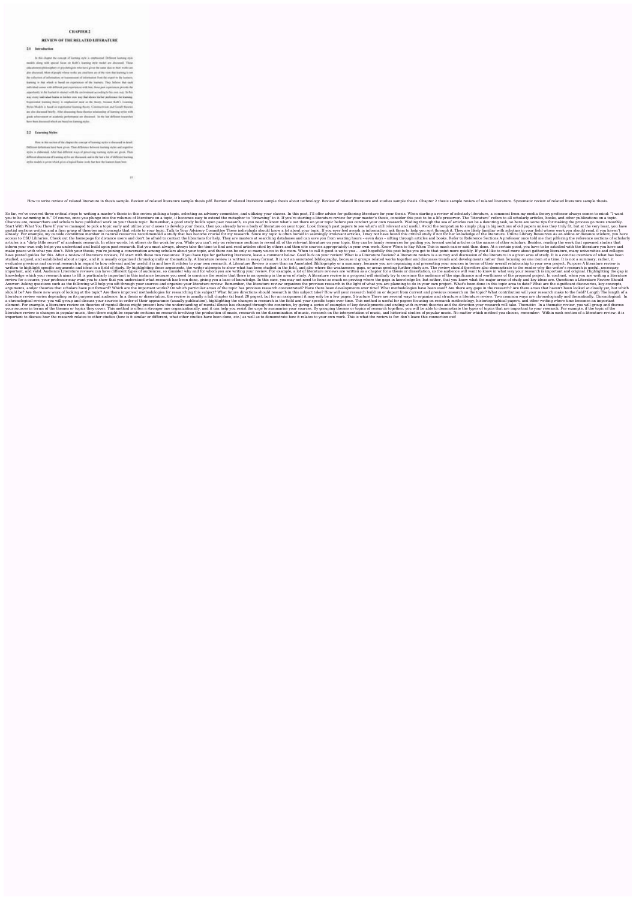### **CHAPTER 3**

### REVIEW OF THE RELATED LITERATURE

### 2.1 Introduction

In this chapter the compat of lineting style is emphasized. Ordinant learning style mobile along with special Securi on Kolif's learning leyer model are designed. These chicaterem philosopher) or provintegent who have given the same take in their works peralso discussed. Most of people whose tender are cited bets are of the view that learning in test the substitute of information, or transmission of indemnities from the channel to the basis inleaving is that which is freed on experience of the learners. They believe that each individual comes with different past experiences with here, these past experiences provide the experience in the feature in standal with the preferences according to be over you. In this was every individual huma as bishes you way that doesn his/set performer for learning Topmonial buring those is registered next at its dansy, bosset Kell's Leaving Styles Models in head on experiented learning theory. Constructions and furnish theories. are also discussed briefly. After discussing these theories scheinstop of burning styles with put who must a solar percent or decent. It is let affect teacher have been document which are based on featuring anylor.

### 2.1 Loansing Styles

How in this section of the chapter the concept of historing ay by to disease of in Jesuit. Differed Schemes have hore given. That Althouse between learning victor and expertise eyles is claborated. Mat that different sings of processing learning ayles are given. Flam-Affreed discourses of leading sylva are discussed, and in the tax a bit of Affreed tracking eplot medals is price which gives a legical forms with that have the framers from hom.

 $\{ \hat{q} \}$  .

How to write review of related literature in thesis sample. Review of related literature sample thesis pdf. Review of related literature sample thesis about technology. Review of related literature and studies sample thesi

So far, we've covered three critical steps to writing a master's thesis in this series: picking a topic, selecting an advisory committee, and utilizing your classes. In this post, I'll offer advice for gathering iterature, you to be swimming in it." Of course, once you plunge into the volumes of literature on a topic, it becomes easy to extend the metaphor to "drowning" in it. If you're starting a literature review for your master's thesis, Chances are, researchers and scholars have published work on your thesis topic. Remember, a good study builds upon past research, so you need to know what's out there on your topic before you conduct your own research. Wad Start With What You Have If you've managed to pick a topic early and utilize your classes to develop your thesis, then you already have a body of literature on your topic. Look through past papers to see what's still relev partial sections written and a firm grasp of theories and concepts that relate to your topic. Talk to Your Advisory Committee These individuals should know a lot about your topic. If you ever feel awash in information, ask already. For example, my outside committee member in natural resources recommended a study that has become crucial for my research. Since my topic is often buried in seemingly irrelevant articles, I may not have found this access to CSU Libraries. Check out the homepage for distance users and don't be afraid to contact the librarians for help. They are masters at searching databases and can save you from wasting hours - even days - sifting t articles is a "dirty little secret" of academic research. In other words, let others do the work for you. While you can't rely on reference sections to reveal all of the relevant literature on your topic, they can be handy inform your own only helps you understand and build upon past research. But you must always, always take the time to find and read articles cited by others and then cite sources appropriately in your own work. Know When Th make peace with what you don't. With your thesis, you're joining a conversation among scholars about your topic, and there can be only so many voices in the room. When to call it good is up to you ... and hopefully this po have posted guides for this. After a review of literature reviews, I'd start with these two resources: If you have tips for gathering literature, leave a comment below. Good luck on your review! What is a Literature review studied, arqued, and established about a topic, and it is usually organized chronologically or thematically. A literature review is written in essay format. It is not an annotated bibliography, because it groups related wo evaluates previous and current research in regard to how relevant and/or useful it is and how it relates to your own research. A Literature Review is more than an Annotated Bibliography or a summary, because you are organi written to highlight specific arguments and ideas in a field of study. By highlighting these arguments, the writer attempts to show what has been studied in the field, and also where the weaknesses, gaps, or areas needing important, and valid. Audience Literature reviews can have different types of audiences, so consider why and for whom you are writing your review. For example, a lot of literature reviews are written as a chapter for a the knowledge which your research aims to fill is particularly important in this instance because you need to convince the reader that there is an opening in the area of study. A literature review in a proposal will similarly review for a course, your professor may want you to show that you understand what research has been done, giving you a base of knowledge. In this case, you may not need to focus as much on proving where the gaps in knowled Answer: Asking questions such as the following will help you sift through your sources and organize your literature review. Remember, the literature review organizes the previous research in the light of what you are plann arguments, and/or theories that scholars have put forward? Which are the important works? On which particular areas of the topic has previous research concentrated? Have there been developments over time? What methodologie should be? Are there new ways of looking at the topic? Are there improved methodologies for researching this subject? What future directions should research in this subject take? How will your research on the topic? What c literature review varies depending on its purpose and audience. In a thesis or dissertation, the review is usually a full chapter (at least 20 pages), but for an assignment it may only be a few pages. Structure There are s a chronological review, you will group and discuss your sources in order of their appearance (usually publication), highlighting the changes in research in the field and your specific topic over time. This method is useful element. For example, a literature review on theories of mental illness might present how the understanding of mental illness has changed through the centuries, by giving a series of examples of key developments and the di your sources in terms of the themes or topics they cover. This method is often a stronger one organizationally, and it can help you resist the urge to summarize your sources. By grouping themes or topics of research togeth literature review is changes in popular music, then there might be separate sections on research involving the production of music, research on the dissemination of music, research on the interpretation of music. and histo important to discuss how the research relates to other studies (how is it similar or different, what other studies have been done, etc.) as well as to demonstrate how it relates to your own work. This is what the review is